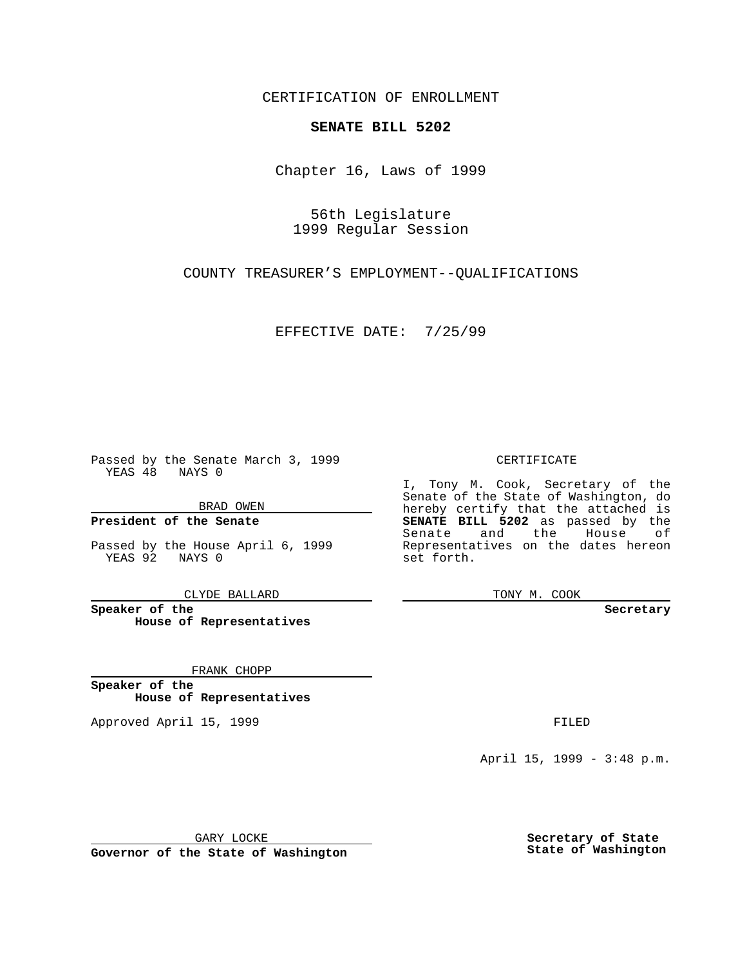CERTIFICATION OF ENROLLMENT

## **SENATE BILL 5202**

Chapter 16, Laws of 1999

56th Legislature 1999 Regular Session

COUNTY TREASURER'S EMPLOYMENT--QUALIFICATIONS

EFFECTIVE DATE: 7/25/99

Passed by the Senate March 3, 1999 YEAS 48 NAYS 0

BRAD OWEN

**President of the Senate**

Passed by the House April 6, 1999 YEAS 92 NAYS 0

CLYDE BALLARD

**Speaker of the House of Representatives**

FRANK CHOPP

**Speaker of the House of Representatives**

Approved April 15, 1999 **FILED** 

## CERTIFICATE

I, Tony M. Cook, Secretary of the Senate of the State of Washington, do hereby certify that the attached is **SENATE BILL 5202** as passed by the Senate and the House of Representatives on the dates hereon set forth.

TONY M. COOK

**Secretary**

April 15, 1999 - 3:48 p.m.

GARY LOCKE

**Governor of the State of Washington**

**Secretary of State State of Washington**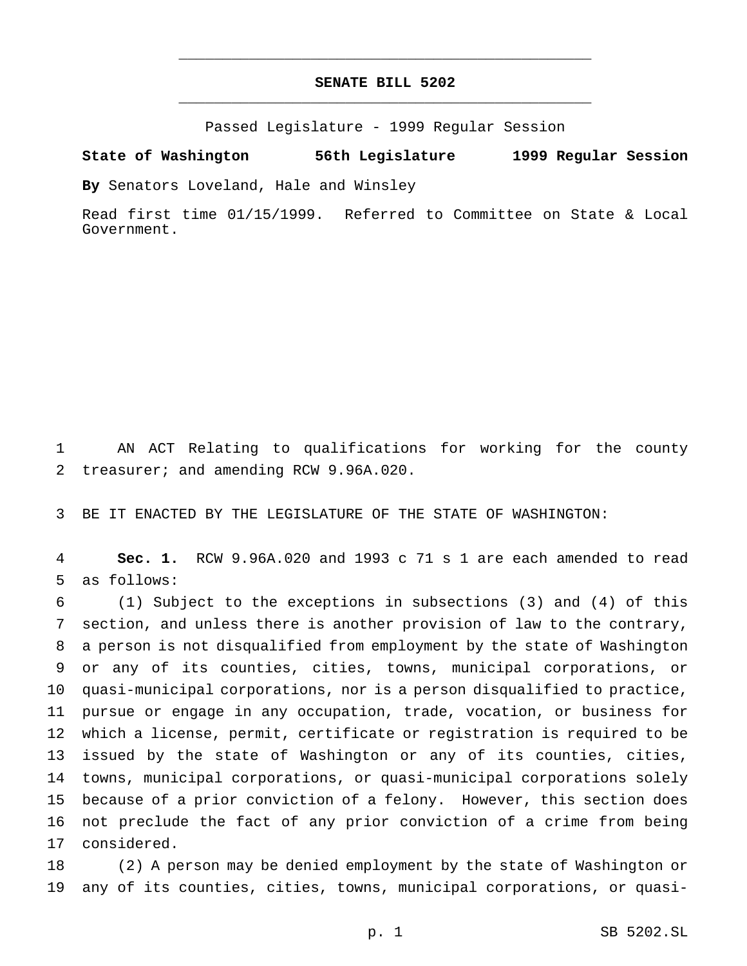## **SENATE BILL 5202** \_\_\_\_\_\_\_\_\_\_\_\_\_\_\_\_\_\_\_\_\_\_\_\_\_\_\_\_\_\_\_\_\_\_\_\_\_\_\_\_\_\_\_\_\_\_\_

\_\_\_\_\_\_\_\_\_\_\_\_\_\_\_\_\_\_\_\_\_\_\_\_\_\_\_\_\_\_\_\_\_\_\_\_\_\_\_\_\_\_\_\_\_\_\_

Passed Legislature - 1999 Regular Session

**State of Washington 56th Legislature 1999 Regular Session**

**By** Senators Loveland, Hale and Winsley

Read first time 01/15/1999. Referred to Committee on State & Local Government.

 AN ACT Relating to qualifications for working for the county treasurer; and amending RCW 9.96A.020.

BE IT ENACTED BY THE LEGISLATURE OF THE STATE OF WASHINGTON:

 **Sec. 1.** RCW 9.96A.020 and 1993 c 71 s 1 are each amended to read as follows:

 (1) Subject to the exceptions in subsections (3) and (4) of this section, and unless there is another provision of law to the contrary, a person is not disqualified from employment by the state of Washington or any of its counties, cities, towns, municipal corporations, or quasi-municipal corporations, nor is a person disqualified to practice, pursue or engage in any occupation, trade, vocation, or business for which a license, permit, certificate or registration is required to be issued by the state of Washington or any of its counties, cities, towns, municipal corporations, or quasi-municipal corporations solely because of a prior conviction of a felony. However, this section does not preclude the fact of any prior conviction of a crime from being considered.

 (2) A person may be denied employment by the state of Washington or any of its counties, cities, towns, municipal corporations, or quasi-